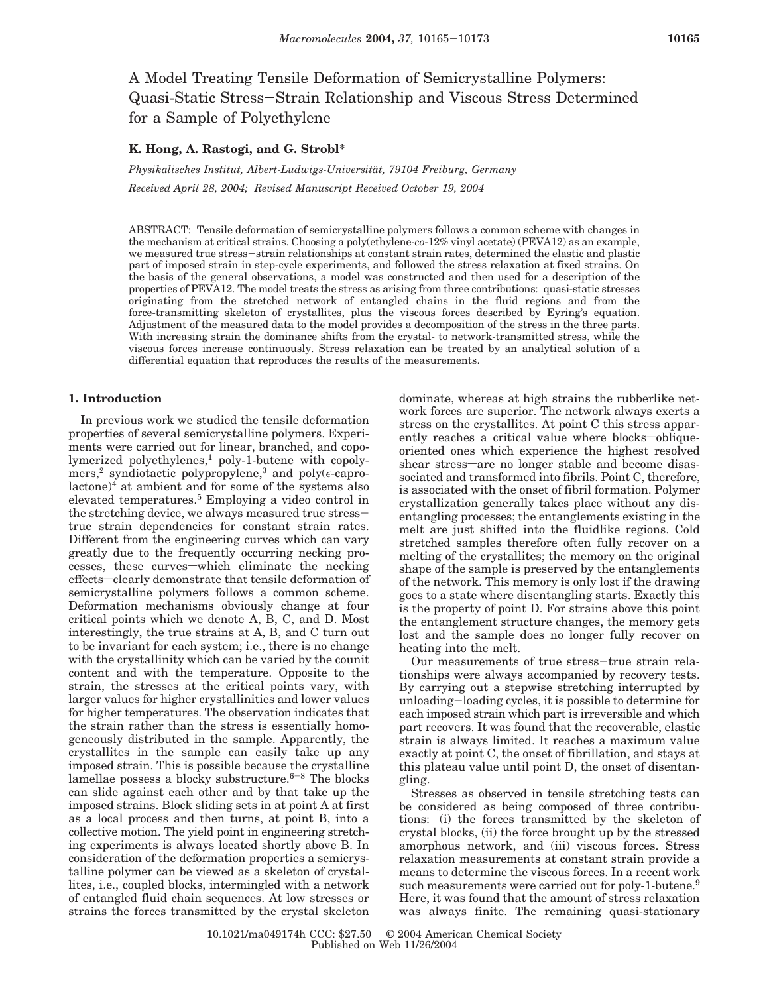# A Model Treating Tensile Deformation of Semicrystalline Polymers: Quasi-Static Stress-Strain Relationship and Viscous Stress Determined for a Sample of Polyethylene

# **K. Hong, A. Rastogi, and G. Strobl\***

*Physikalisches Institut, Albert-Ludwigs-Universita*¨*t, 79104 Freiburg, Germany Received April 28, 2004; Revised Manuscript Received October 19, 2004*

ABSTRACT: Tensile deformation of semicrystalline polymers follows a common scheme with changes in the mechanism at critical strains. Choosing a poly(ethylene-*co*-12% vinyl acetate) (PEVA12) as an example, we measured true stress-strain relationships at constant strain rates, determined the elastic and plastic part of imposed strain in step-cycle experiments, and followed the stress relaxation at fixed strains. On the basis of the general observations, a model was constructed and then used for a description of the properties of PEVA12. The model treats the stress as arising from three contributions: quasi-static stresses originating from the stretched network of entangled chains in the fluid regions and from the force-transmitting skeleton of crystallites, plus the viscous forces described by Eyring's equation. Adjustment of the measured data to the model provides a decomposition of the stress in the three parts. With increasing strain the dominance shifts from the crystal- to network-transmitted stress, while the viscous forces increase continuously. Stress relaxation can be treated by an analytical solution of a differential equation that reproduces the results of the measurements.

# **1. Introduction**

In previous work we studied the tensile deformation properties of several semicrystalline polymers. Experiments were carried out for linear, branched, and copolymerized polyethylenes,<sup>1</sup> poly-1-butene with copolymers,<sup>2</sup> syndiotactic polypropylene,<sup>3</sup> and poly( $\epsilon$ -caprolactone)4 at ambient and for some of the systems also elevated temperatures.5 Employing a video control in the stretching device, we always measured true stresstrue strain dependencies for constant strain rates. Different from the engineering curves which can vary greatly due to the frequently occurring necking processes, these curves-which eliminate the necking effects-clearly demonstrate that tensile deformation of semicrystalline polymers follows a common scheme. Deformation mechanisms obviously change at four critical points which we denote A, B, C, and D. Most interestingly, the true strains at A, B, and C turn out to be invariant for each system; i.e., there is no change with the crystallinity which can be varied by the counit content and with the temperature. Opposite to the strain, the stresses at the critical points vary, with larger values for higher crystallinities and lower values for higher temperatures. The observation indicates that the strain rather than the stress is essentially homogeneously distributed in the sample. Apparently, the crystallites in the sample can easily take up any imposed strain. This is possible because the crystalline lamellae possess a blocky substructure.<sup>6-8</sup> The blocks can slide against each other and by that take up the imposed strains. Block sliding sets in at point A at first as a local process and then turns, at point B, into a collective motion. The yield point in engineering stretching experiments is always located shortly above B. In consideration of the deformation properties a semicrystalline polymer can be viewed as a skeleton of crystallites, i.e., coupled blocks, intermingled with a network of entangled fluid chain sequences. At low stresses or strains the forces transmitted by the crystal skeleton

dominate, whereas at high strains the rubberlike network forces are superior. The network always exerts a stress on the crystallites. At point C this stress apparently reaches a critical value where blocks-obliqueoriented ones which experience the highest resolved shear stress-are no longer stable and become disassociated and transformed into fibrils. Point C, therefore, is associated with the onset of fibril formation. Polymer crystallization generally takes place without any disentangling processes; the entanglements existing in the melt are just shifted into the fluidlike regions. Cold stretched samples therefore often fully recover on a melting of the crystallites; the memory on the original shape of the sample is preserved by the entanglements of the network. This memory is only lost if the drawing goes to a state where disentangling starts. Exactly this is the property of point D. For strains above this point the entanglement structure changes, the memory gets lost and the sample does no longer fully recover on heating into the melt.

Our measurements of true stress-true strain relationships were always accompanied by recovery tests. By carrying out a stepwise stretching interrupted by unloading-loading cycles, it is possible to determine for each imposed strain which part is irreversible and which part recovers. It was found that the recoverable, elastic strain is always limited. It reaches a maximum value exactly at point C, the onset of fibrillation, and stays at this plateau value until point D, the onset of disentangling.

Stresses as observed in tensile stretching tests can be considered as being composed of three contributions: (i) the forces transmitted by the skeleton of crystal blocks, (ii) the force brought up by the stressed amorphous network, and (iii) viscous forces. Stress relaxation measurements at constant strain provide a means to determine the viscous forces. In a recent work such measurements were carried out for poly-1-butene.<sup>9</sup> Here, it was found that the amount of stress relaxation was always finite. The remaining quasi-stationary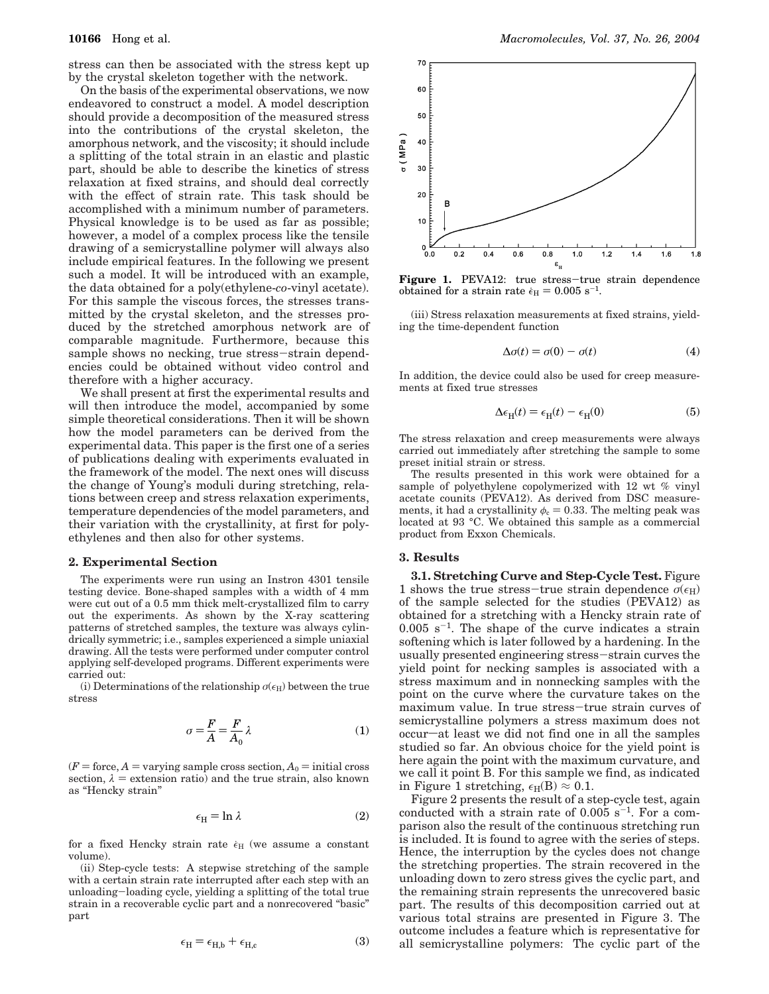stress can then be associated with the stress kept up by the crystal skeleton together with the network.

On the basis of the experimental observations, we now endeavored to construct a model. A model description should provide a decomposition of the measured stress into the contributions of the crystal skeleton, the amorphous network, and the viscosity; it should include a splitting of the total strain in an elastic and plastic part, should be able to describe the kinetics of stress relaxation at fixed strains, and should deal correctly with the effect of strain rate. This task should be accomplished with a minimum number of parameters. Physical knowledge is to be used as far as possible; however, a model of a complex process like the tensile drawing of a semicrystalline polymer will always also include empirical features. In the following we present such a model. It will be introduced with an example, the data obtained for a poly(ethylene-*co*-vinyl acetate). For this sample the viscous forces, the stresses transmitted by the crystal skeleton, and the stresses produced by the stretched amorphous network are of comparable magnitude. Furthermore, because this sample shows no necking, true stress-strain dependencies could be obtained without video control and therefore with a higher accuracy.

We shall present at first the experimental results and will then introduce the model, accompanied by some simple theoretical considerations. Then it will be shown how the model parameters can be derived from the experimental data. This paper is the first one of a series of publications dealing with experiments evaluated in the framework of the model. The next ones will discuss the change of Young's moduli during stretching, relations between creep and stress relaxation experiments, temperature dependencies of the model parameters, and their variation with the crystallinity, at first for polyethylenes and then also for other systems.

#### **2. Experimental Section**

The experiments were run using an Instron 4301 tensile testing device. Bone-shaped samples with a width of 4 mm were cut out of a 0.5 mm thick melt-crystallized film to carry out the experiments. As shown by the X-ray scattering patterns of stretched samples, the texture was always cylindrically symmetric; i.e., samples experienced a simple uniaxial drawing. All the tests were performed under computer control applying self-developed programs. Different experiments were carried out:

(i) Determinations of the relationship  $\sigma(\epsilon_H)$  between the true stress

$$
\sigma = \frac{F}{A} = \frac{F}{A_0} \lambda \tag{1}
$$

 $(F = force, A = varying sample cross section, A<sub>0</sub> = initial cross$ section,  $\lambda$  = extension ratio) and the true strain, also known as "Hencky strain"

$$
\epsilon_{\rm H} = \ln \lambda \tag{2}
$$

for a fixed Hencky strain rate  $\epsilon_H$  (we assume a constant volume).

(ii) Step-cycle tests: A stepwise stretching of the sample with a certain strain rate interrupted after each step with an unloading-loading cycle, yielding a splitting of the total true strain in a recoverable cyclic part and a nonrecovered "basic" part



**Figure 1.** PEVA12: true stress-true strain dependence obtained for a strain rate  $\epsilon_{\text{H}} = 0.005 \text{ s}^{-1}$ .

(iii) Stress relaxation measurements at fixed strains, yielding the time-dependent function

$$
\Delta \sigma(t) = \sigma(0) - \sigma(t) \tag{4}
$$

In addition, the device could also be used for creep measurements at fixed true stresses

$$
\Delta \epsilon_{\rm H}(t) = \epsilon_{\rm H}(t) - \epsilon_{\rm H}(0) \tag{5}
$$

The stress relaxation and creep measurements were always carried out immediately after stretching the sample to some preset initial strain or stress.

The results presented in this work were obtained for a sample of polyethylene copolymerized with 12 wt % vinyl acetate counits (PEVA12). As derived from DSC measurements, it had a crystallinity  $\phi_c = 0.33$ . The melting peak was located at 93 °C. We obtained this sample as a commercial product from Exxon Chemicals.

## **3. Results**

**3.1. Stretching Curve and Step-Cycle Test.** Figure 1 shows the true stress-true strain dependence  $\sigma(\epsilon_H)$ of the sample selected for the studies (PEVA12) as obtained for a stretching with a Hencky strain rate of  $0.005$  s<sup>-1</sup>. The shape of the curve indicates a strain softening which is later followed by a hardening. In the usually presented engineering stress-strain curves the yield point for necking samples is associated with a stress maximum and in nonnecking samples with the point on the curve where the curvature takes on the maximum value. In true stress-true strain curves of semicrystalline polymers a stress maximum does not occur-at least we did not find one in all the samples studied so far. An obvious choice for the yield point is here again the point with the maximum curvature, and we call it point B. For this sample we find, as indicated in Figure 1 stretching,  $\epsilon_H(B) \approx 0.1$ .

Figure 2 presents the result of a step-cycle test, again conducted with a strain rate of  $0.005$  s<sup>-1</sup>. For a comparison also the result of the continuous stretching run is included. It is found to agree with the series of steps. Hence, the interruption by the cycles does not change the stretching properties. The strain recovered in the unloading down to zero stress gives the cyclic part, and the remaining strain represents the unrecovered basic part. The results of this decomposition carried out at various total strains are presented in Figure 3. The outcome includes a feature which is representative for all semicrystalline polymers: The cyclic part of the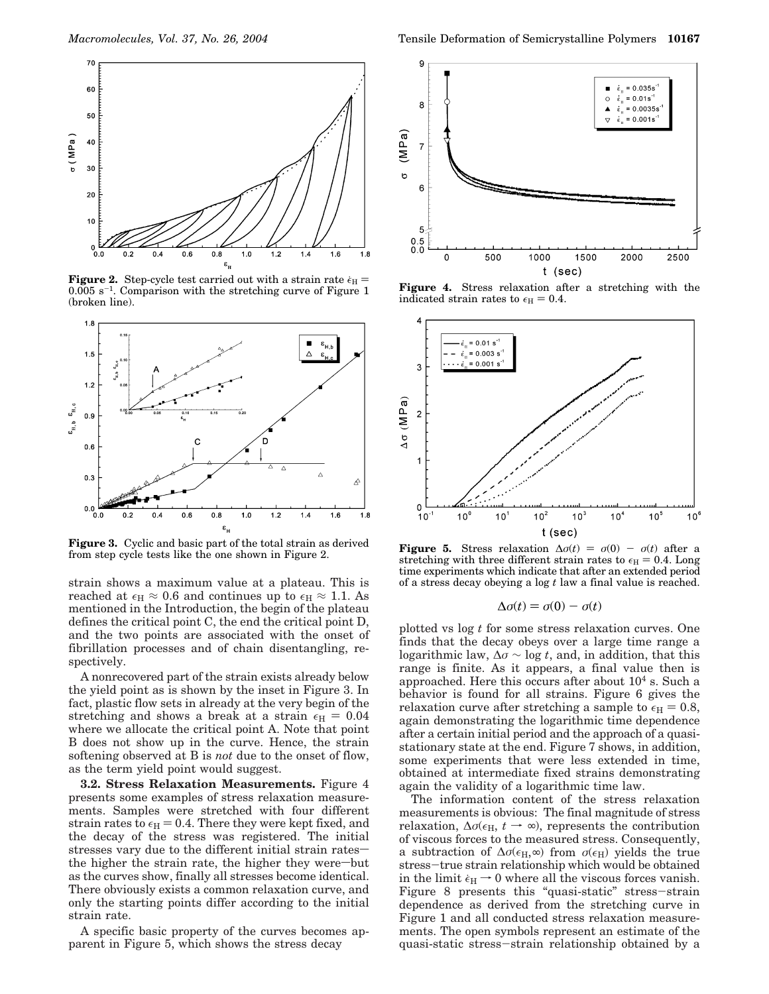

**Figure 2.** Step-cycle test carried out with a strain rate  $\epsilon_H$  =  $0.005$  s<sup>-1</sup>. Comparison with the stretching curve of Figure 1 (broken line).



**Figure 3.** Cyclic and basic part of the total strain as derived from step cycle tests like the one shown in Figure 2.

strain shows a maximum value at a plateau. This is reached at  $\epsilon_H \approx 0.6$  and continues up to  $\epsilon_H \approx 1.1$ . As mentioned in the Introduction, the begin of the plateau defines the critical point C, the end the critical point D, and the two points are associated with the onset of fibrillation processes and of chain disentangling, respectively.

A nonrecovered part of the strain exists already below the yield point as is shown by the inset in Figure 3. In fact, plastic flow sets in already at the very begin of the stretching and shows a break at a strain  $\epsilon_{\text{H}} = 0.04$ where we allocate the critical point A. Note that point B does not show up in the curve. Hence, the strain softening observed at B is *not* due to the onset of flow, as the term yield point would suggest.

**3.2. Stress Relaxation Measurements.** Figure 4 presents some examples of stress relaxation measurements. Samples were stretched with four different strain rates to  $\epsilon_H = 0.4$ . There they were kept fixed, and the decay of the stress was registered. The initial stresses vary due to the different initial strain ratesthe higher the strain rate, the higher they were-but as the curves show, finally all stresses become identical. There obviously exists a common relaxation curve, and only the starting points differ according to the initial strain rate.

A specific basic property of the curves becomes apparent in Figure 5, which shows the stress decay



**Figure 4.** Stress relaxation after a stretching with the indicated strain rates to  $\epsilon_{\text{H}} = 0.4$ .



**Figure 5.** Stress relaxation  $\Delta \sigma(t) = \sigma(0) - \sigma(t)$  after a stretching with three different strain rates to  $\epsilon_H = 0.4$ . Long time experiments which indicate that after an extended period of a stress decay obeying a log *t* law a final value is reached.

$$
\Delta \sigma(t) = \sigma(0) - \sigma(t)
$$

plotted vs log *t* for some stress relaxation curves. One finds that the decay obeys over a large time range a logarithmic law, ∆*σ* ∼ log *t*, and, in addition, that this range is finite. As it appears, a final value then is approached. Here this occurs after about  $10<sup>4</sup>$  s. Such a behavior is found for all strains. Figure 6 gives the relaxation curve after stretching a sample to  $\epsilon_{\text{H}} = 0.8$ , again demonstrating the logarithmic time dependence after a certain initial period and the approach of a quasistationary state at the end. Figure 7 shows, in addition, some experiments that were less extended in time, obtained at intermediate fixed strains demonstrating again the validity of a logarithmic time law.

The information content of the stress relaxation measurements is obvious: The final magnitude of stress relaxation,  $\Delta \sigma (\epsilon_H, t \rightarrow \infty)$ , represents the contribution of viscous forces to the measured stress. Consequently, a subtraction of  $\Delta \sigma(\epsilon_H, \infty)$  from  $\sigma(\epsilon_H)$  yields the true stress-true strain relationship which would be obtained in the limit  $\epsilon_H \rightarrow 0$  where all the viscous forces vanish. Figure 8 presents this "quasi-static" stress-strain dependence as derived from the stretching curve in Figure 1 and all conducted stress relaxation measurements. The open symbols represent an estimate of the quasi-static stress-strain relationship obtained by a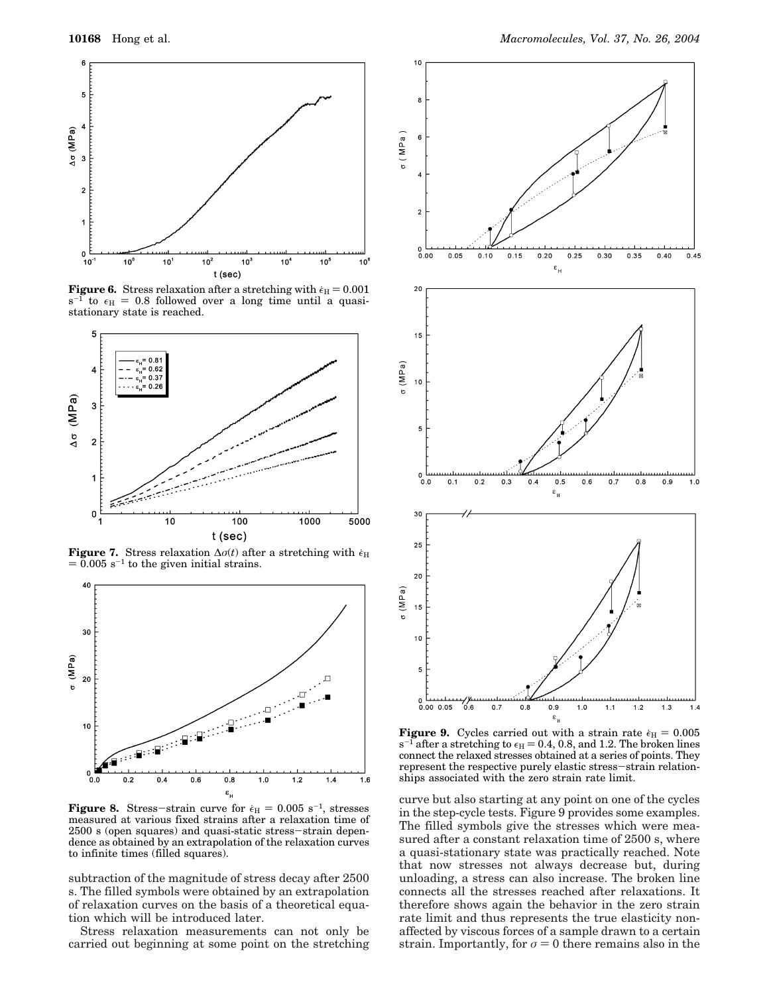

**Figure 6.** Stress relaxation after a stretching with  $\epsilon_H = 0.001$  $s^{-1}$  to  $\epsilon_H = 0.8$  followed over a long time until a quasistationary state is reached.



**Figure 7.** Stress relaxation  $\Delta \sigma(t)$  after a stretching with  $\epsilon_H$  $= 0.005$  s<sup>-1</sup> to the given initial strains.



**Figure 8.** Stress-strain curve for  $\epsilon_H = 0.005 \text{ s}^{-1}$ , stresses measured at various fixed strains after a relaxation time of 2500 s (open squares) and quasi-static stress-strain dependence as obtained by an extrapolation of the relaxation curves to infinite times (filled squares).

subtraction of the magnitude of stress decay after 2500 s. The filled symbols were obtained by an extrapolation of relaxation curves on the basis of a theoretical equation which will be introduced later.

Stress relaxation measurements can not only be carried out beginning at some point on the stretching



**Figure 9.** Cycles carried out with a strain rate  $\epsilon_{\text{H}} = 0.005$  $s^{-1}$  after a stretching to  $\epsilon_H = 0.4, 0.8,$  and 1.2. The broken lines connect the relaxed stresses obtained at a series of points. They represent the respective purely elastic stress-strain relationships associated with the zero strain rate limit.

curve but also starting at any point on one of the cycles in the step-cycle tests. Figure 9 provides some examples. The filled symbols give the stresses which were measured after a constant relaxation time of 2500 s, where a quasi-stationary state was practically reached. Note that now stresses not always decrease but, during unloading, a stress can also increase. The broken line connects all the stresses reached after relaxations. It therefore shows again the behavior in the zero strain rate limit and thus represents the true elasticity nonaffected by viscous forces of a sample drawn to a certain strain. Importantly, for  $\sigma = 0$  there remains also in the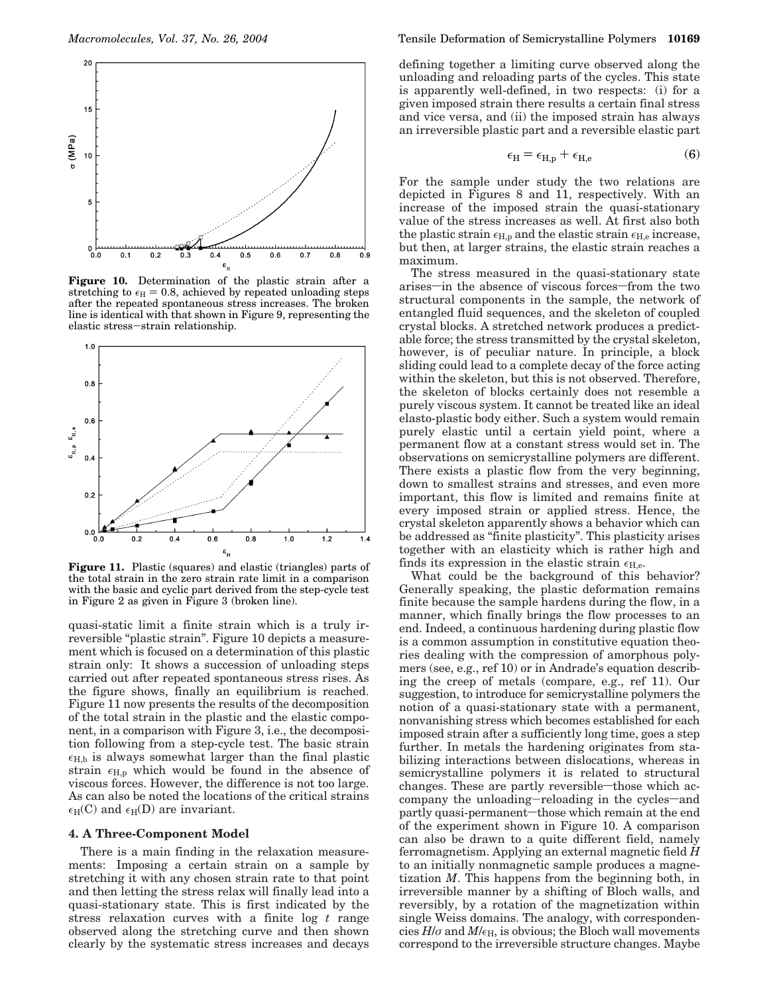

**Figure 10.** Determination of the plastic strain after a stretching to  $\epsilon_H = 0.8$ , achieved by repeated unloading steps after the repeated spontaneous stress increases. The broken line is identical with that shown in Figure 9, representing the elastic stress-strain relationship.



**Figure 11.** Plastic (squares) and elastic (triangles) parts of the total strain in the zero strain rate limit in a comparison with the basic and cyclic part derived from the step-cycle test in Figure 2 as given in Figure 3 (broken line).

quasi-static limit a finite strain which is a truly irreversible "plastic strain". Figure 10 depicts a measurement which is focused on a determination of this plastic strain only: It shows a succession of unloading steps carried out after repeated spontaneous stress rises. As the figure shows, finally an equilibrium is reached. Figure 11 now presents the results of the decomposition of the total strain in the plastic and the elastic component, in a comparison with Figure 3, i.e., the decomposition following from a step-cycle test. The basic strain  $\epsilon_{H,b}$  is always somewhat larger than the final plastic strain  $\epsilon_{H,p}$  which would be found in the absence of viscous forces. However, the difference is not too large. As can also be noted the locations of the critical strains  $\epsilon_H(C)$  and  $\epsilon_H(D)$  are invariant.

## **4. A Three-Component Model**

There is a main finding in the relaxation measurements: Imposing a certain strain on a sample by stretching it with any chosen strain rate to that point and then letting the stress relax will finally lead into a quasi-stationary state. This is first indicated by the stress relaxation curves with a finite log *t* range observed along the stretching curve and then shown clearly by the systematic stress increases and decays

defining together a limiting curve observed along the unloading and reloading parts of the cycles. This state is apparently well-defined, in two respects: (i) for a given imposed strain there results a certain final stress and vice versa, and (ii) the imposed strain has always an irreversible plastic part and a reversible elastic part

$$
\epsilon_{\rm H} = \epsilon_{\rm H,p} + \epsilon_{\rm H,e} \tag{6}
$$

For the sample under study the two relations are depicted in Figures 8 and 11, respectively. With an increase of the imposed strain the quasi-stationary value of the stress increases as well. At first also both the plastic strain  $\epsilon_{H,p}$  and the elastic strain  $\epsilon_{H,e}$  increase, but then, at larger strains, the elastic strain reaches a maximum.

The stress measured in the quasi-stationary state arises—in the absence of viscous forces—from the two structural components in the sample, the network of entangled fluid sequences, and the skeleton of coupled crystal blocks. A stretched network produces a predictable force; the stress transmitted by the crystal skeleton, however, is of peculiar nature. In principle, a block sliding could lead to a complete decay of the force acting within the skeleton, but this is not observed. Therefore, the skeleton of blocks certainly does not resemble a purely viscous system. It cannot be treated like an ideal elasto-plastic body either. Such a system would remain purely elastic until a certain yield point, where a permanent flow at a constant stress would set in. The observations on semicrystalline polymers are different. There exists a plastic flow from the very beginning, down to smallest strains and stresses, and even more important, this flow is limited and remains finite at every imposed strain or applied stress. Hence, the crystal skeleton apparently shows a behavior which can be addressed as "finite plasticity". This plasticity arises together with an elasticity which is rather high and finds its expression in the elastic strain  $\epsilon_{\text{H,e}}$ .

What could be the background of this behavior? Generally speaking, the plastic deformation remains finite because the sample hardens during the flow, in a manner, which finally brings the flow processes to an end. Indeed, a continuous hardening during plastic flow is a common assumption in constitutive equation theories dealing with the compression of amorphous polymers (see, e.g., ref 10) or in Andrade's equation describing the creep of metals (compare, e.g., ref 11). Our suggestion, to introduce for semicrystalline polymers the notion of a quasi-stationary state with a permanent, nonvanishing stress which becomes established for each imposed strain after a sufficiently long time, goes a step further. In metals the hardening originates from stabilizing interactions between dislocations, whereas in semicrystalline polymers it is related to structural changes. These are partly reversible-those which accompany the unloading-reloading in the cycles-and partly quasi-permanent-those which remain at the end of the experiment shown in Figure 10. A comparison can also be drawn to a quite different field, namely ferromagnetism. Applying an external magnetic field *H* to an initially nonmagnetic sample produces a magnetization *M*. This happens from the beginning both, in irreversible manner by a shifting of Bloch walls, and reversibly, by a rotation of the magnetization within single Weiss domains. The analogy, with correspondencies  $H/\sigma$  and  $M/\epsilon_H$ , is obvious; the Bloch wall movements correspond to the irreversible structure changes. Maybe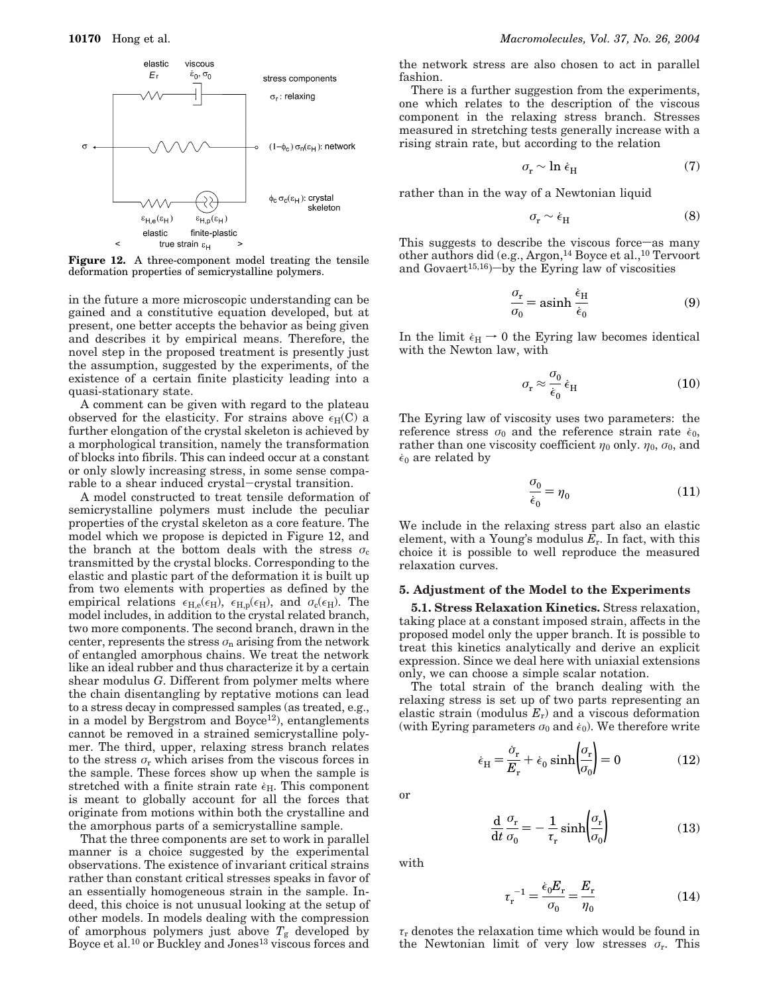

**Figure 12.** A three-component model treating the tensile deformation properties of semicrystalline polymers.

in the future a more microscopic understanding can be gained and a constitutive equation developed, but at present, one better accepts the behavior as being given and describes it by empirical means. Therefore, the novel step in the proposed treatment is presently just the assumption, suggested by the experiments, of the existence of a certain finite plasticity leading into a quasi-stationary state.

A comment can be given with regard to the plateau observed for the elasticity. For strains above  $\epsilon_H(C)$  a further elongation of the crystal skeleton is achieved by a morphological transition, namely the transformation of blocks into fibrils. This can indeed occur at a constant or only slowly increasing stress, in some sense comparable to a shear induced crystal-crystal transition.

A model constructed to treat tensile deformation of semicrystalline polymers must include the peculiar properties of the crystal skeleton as a core feature. The model which we propose is depicted in Figure 12, and the branch at the bottom deals with the stress  $\sigma_c$ transmitted by the crystal blocks. Corresponding to the elastic and plastic part of the deformation it is built up from two elements with properties as defined by the empirical relations  $\epsilon_{H,e}(\epsilon_H)$ ,  $\epsilon_{H,p}(\epsilon_H)$ , and  $\sigma_e(\epsilon_H)$ . The model includes, in addition to the crystal related branch, two more components. The second branch, drawn in the center, represents the stress  $\sigma_n$  arising from the network of entangled amorphous chains. We treat the network like an ideal rubber and thus characterize it by a certain shear modulus *G*. Different from polymer melts where the chain disentangling by reptative motions can lead to a stress decay in compressed samples (as treated, e.g., in a model by Bergstrom and Boyce<sup>12</sup>), entanglements cannot be removed in a strained semicrystalline polymer. The third, upper, relaxing stress branch relates to the stress  $\sigma_{\rm r}$  which arises from the viscous forces in the sample. These forces show up when the sample is stretched with a finite strain rate  $\epsilon_H$ . This component is meant to globally account for all the forces that originate from motions within both the crystalline and the amorphous parts of a semicrystalline sample.

That the three components are set to work in parallel manner is a choice suggested by the experimental observations. The existence of invariant critical strains rather than constant critical stresses speaks in favor of an essentially homogeneous strain in the sample. Indeed, this choice is not unusual looking at the setup of other models. In models dealing with the compression of amorphous polymers just above  $T_g$  developed by Boyce et al.<sup>10</sup> or Buckley and Jones<sup>13</sup> viscous forces and

the network stress are also chosen to act in parallel fashion.

There is a further suggestion from the experiments, one which relates to the description of the viscous component in the relaxing stress branch. Stresses measured in stretching tests generally increase with a rising strain rate, but according to the relation

$$
\sigma_{\rm r} \sim \ln \dot{\epsilon}_{\rm H} \tag{7}
$$

rather than in the way of a Newtonian liquid

$$
\sigma_{\rm r} \sim \dot{\epsilon}_{\rm H} \tag{8}
$$

This suggests to describe the viscous force—as many other authors did (e.g., Argon,<sup>14</sup> Boyce et al.,<sup>10</sup> Tervoort and Govaert<sup>15,16</sup>)-by the Eyring law of viscosities

$$
\frac{\sigma_r}{\sigma_0} = \operatorname{asinh} \frac{\dot{\epsilon}_H}{\dot{\epsilon}_0} \tag{9}
$$

In the limit  $\epsilon_H \rightarrow 0$  the Eyring law becomes identical with the Newton law, with

$$
\sigma_{\rm r} \approx \frac{\sigma_0}{\dot{\epsilon}_0} \dot{\epsilon}_{\rm H} \tag{10}
$$

The Eyring law of viscosity uses two parameters: the reference stress  $\sigma_0$  and the reference strain rate  $\dot{\epsilon}_0$ , rather than one viscosity coefficient  $\eta_0$  only.  $\eta_0$ ,  $\sigma_0$ , and  $\dot{\epsilon}_0$  are related by

$$
\frac{\sigma_0}{\dot{\epsilon}_0} = \eta_0 \tag{11}
$$

We include in the relaxing stress part also an elastic element, with a Young's modulus *E*r. In fact, with this choice it is possible to well reproduce the measured relaxation curves.

## **5. Adjustment of the Model to the Experiments**

**5.1. Stress Relaxation Kinetics.** Stress relaxation, taking place at a constant imposed strain, affects in the proposed model only the upper branch. It is possible to treat this kinetics analytically and derive an explicit expression. Since we deal here with uniaxial extensions only, we can choose a simple scalar notation.

The total strain of the branch dealing with the relaxing stress is set up of two parts representing an elastic strain (modulus *E*r) and a viscous deformation (with Eyring parameters  $\sigma_0$  and  $\dot{\epsilon}_0$ ). We therefore write

$$
\dot{\epsilon}_{\rm H} = \frac{\dot{\sigma}_{\rm r}}{E_{\rm r}} + \dot{\epsilon}_0 \sinh\left(\frac{\sigma_{\rm r}}{\sigma_0}\right) = 0 \tag{12}
$$

or

$$
\frac{\mathrm{d}}{\mathrm{d}t} \frac{\sigma_{\rm r}}{\sigma_0} = -\frac{1}{\tau_{\rm r}} \sinh \left( \frac{\sigma_{\rm r}}{\sigma_0} \right) \tag{13}
$$

with

$$
\tau_{\rm r}^{-1} = \frac{\dot{\epsilon}_0 E_{\rm r}}{\sigma_0} = \frac{E_{\rm r}}{\eta_0} \tag{14}
$$

*τ*<sup>r</sup> denotes the relaxation time which would be found in the Newtonian limit of very low stresses  $\sigma_r$ . This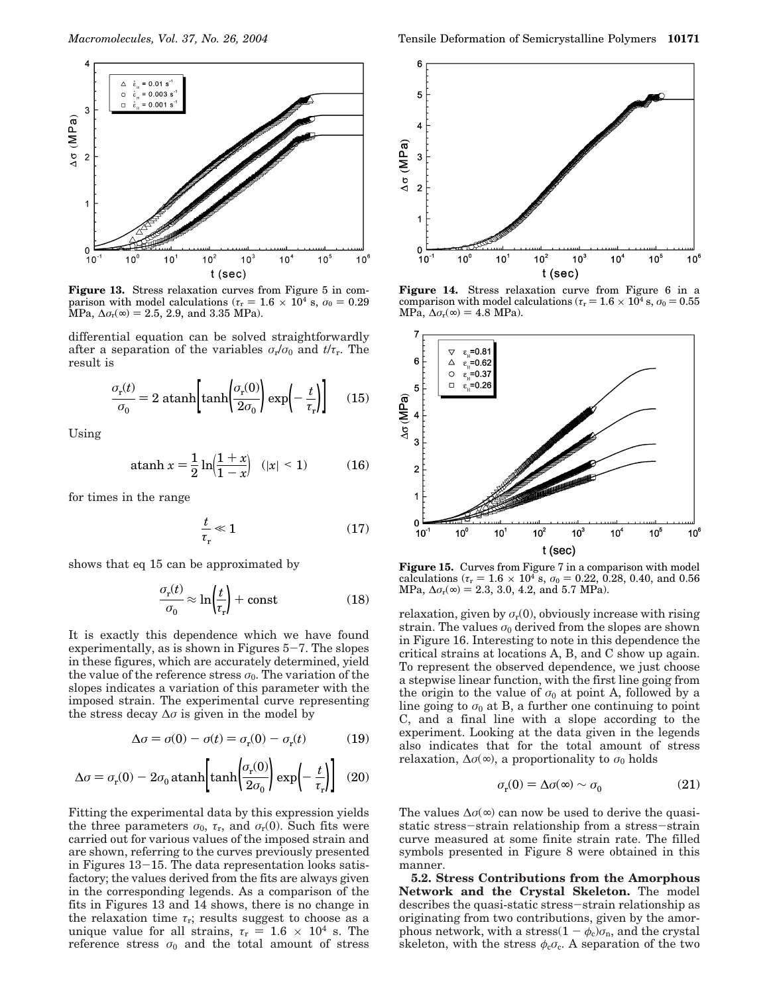

**Figure 13.** Stress relaxation curves from Figure 5 in comparison with model calculations ( $\tau_r = 1.6 \times 10^4$  s,  $\sigma_0 = 0.29$  $MPa, \Delta \sigma_r (\infty) = 2.5, 2.9, \text{ and } 3.35 \text{ MPa}.$ 

differential equation can be solved straightforwardly after a separation of the variables  $\sigma_r/\sigma_0$  and  $t/\tau_r$ . The result is

$$
\frac{\sigma_r(t)}{\sigma_0} = 2 \text{ atanh}\left[\tanh\left(\frac{\sigma_r(0)}{2\sigma_0}\right) \exp\left(-\frac{t}{\tau_r}\right)\right] \quad (15)
$$

Using

atanh 
$$
x = \frac{1}{2} \ln \left( \frac{1+x}{1-x} \right)
$$
  $(|x| < 1)$  (16)

for times in the range

$$
\frac{t}{\tau_{\rm r}} \ll 1\tag{17}
$$

shows that eq 15 can be approximated by

$$
\frac{\sigma_r(t)}{\sigma_0} \approx \ln\left(\frac{t}{\tau_r}\right) + \text{const} \tag{18}
$$

It is exactly this dependence which we have found experimentally, as is shown in Figures  $5-7$ . The slopes in these figures, which are accurately determined, yield the value of the reference stress  $\sigma_0$ . The variation of the slopes indicates a variation of this parameter with the imposed strain. The experimental curve representing the stress decay  $\Delta \sigma$  is given in the model by

$$
\Delta \sigma = \sigma(0) - \sigma(t) = \sigma_{\rm r}(0) - \sigma_{\rm r}(t) \tag{19}
$$

$$
\Delta \sigma = \sigma_{\rm r}(0) - 2\sigma_0 \operatorname{atanh}\left[\tanh\!\left(\frac{\sigma_{\rm r}(0)}{2\sigma_0}\right) \exp\!\left(-\frac{t}{\tau_{\rm r}}\right)\right] \tag{20}
$$

Fitting the experimental data by this expression yields the three parameters  $\sigma_0$ ,  $\tau_r$ , and  $\sigma_r(0)$ . Such fits were carried out for various values of the imposed strain and are shown, referring to the curves previously presented in Figures 13-15. The data representation looks satisfactory; the values derived from the fits are always given in the corresponding legends. As a comparison of the fits in Figures 13 and 14 shows, there is no change in the relaxation time  $\tau_r$ ; results suggest to choose as a unique value for all strains,  $\tau_r = 1.6 \times 10^4$  s. The reference stress  $\sigma_0$  and the total amount of stress



**Figure 14.** Stress relaxation curve from Figure 6 in a comparison with model calculations ( $\tau_r = 1.6 \times 10^4$  s,  $\sigma_0 = 0.55$ ) MPa,  $\Delta \sigma_r(\infty) = 4.8 \text{ MPa}$ .



**Figure 15.** Curves from Figure 7 in a comparison with model calculations ( $\tau_r = 1.6 \times 10^4$  s,  $\sigma_0 = 0.22, 0.28, 0.40,$  and 0.56  $MPa, \Delta \sigma_r(\infty) = 2.3, 3.0, 4.2, \text{ and } 5.7 \text{ MPa}.$ 

relaxation, given by  $\sigma_r(0)$ , obviously increase with rising strain. The values  $\sigma_0$  derived from the slopes are shown in Figure 16. Interesting to note in this dependence the critical strains at locations A, B, and C show up again. To represent the observed dependence, we just choose a stepwise linear function, with the first line going from the origin to the value of  $\sigma_0$  at point A, followed by a line going to  $\sigma_0$  at B, a further one continuing to point C, and a final line with a slope according to the experiment. Looking at the data given in the legends also indicates that for the total amount of stress relaxation,  $\Delta \sigma(\infty)$ , a proportionality to  $\sigma_0$  holds

$$
\sigma_{\rm r}(0) = \Delta \sigma(\infty) \sim \sigma_0 \tag{21}
$$

The values  $\Delta \sigma (\infty)$  can now be used to derive the quasistatic stress-strain relationship from a stress-strain curve measured at some finite strain rate. The filled symbols presented in Figure 8 were obtained in this manner.

**5.2. Stress Contributions from the Amorphous Network and the Crystal Skeleton.** The model describes the quasi-static stress-strain relationship as originating from two contributions, given by the amorphous network, with a stress( $1 - \phi_c$ ) $\sigma_n$ , and the crystal skeleton, with the stress  $\phi_{c}\sigma_{c}$ . A separation of the two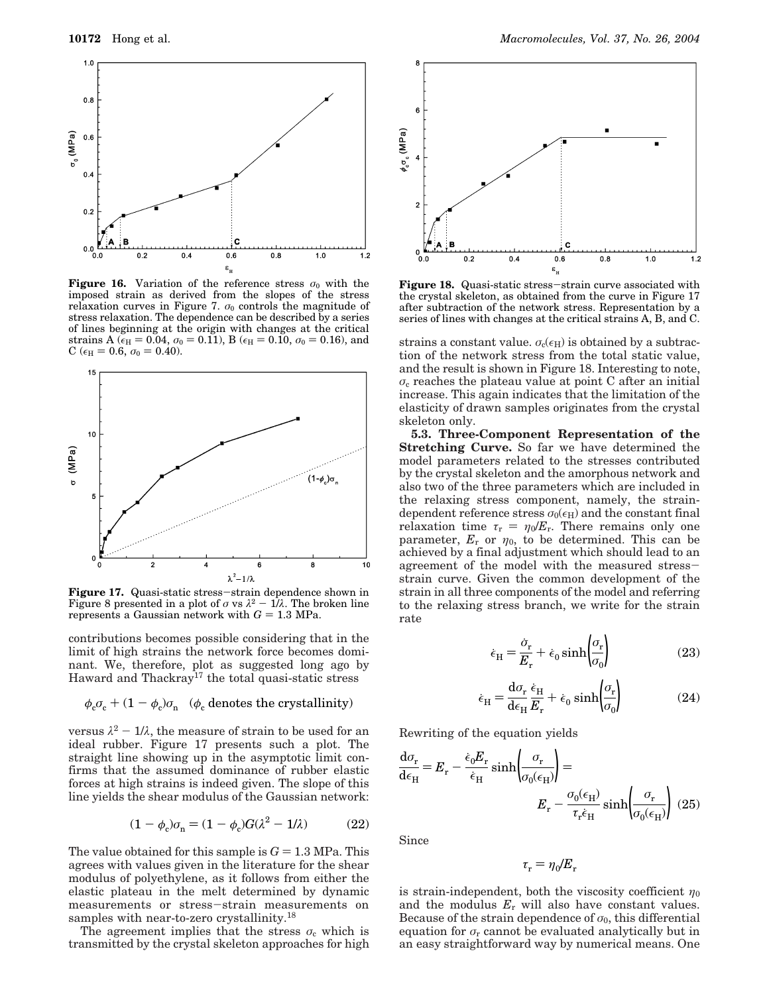

**Figure 16.** Variation of the reference stress  $\sigma_0$  with the imposed strain as derived from the slopes of the stress relaxation curves in Figure 7.  $\sigma_0$  controls the magnitude of stress relaxation. The dependence can be described by a series of lines beginning at the origin with changes at the critical strains A ( $\epsilon_H = 0.04$ ,  $\sigma_0 = 0.11$ ), B ( $\epsilon_H = 0.10$ ,  $\sigma_0 = 0.16$ ), and C ( $\epsilon_{\text{H}}$  = 0.6,  $\sigma_0$  = 0.40).



**Figure 17.** Quasi-static stress-strain dependence shown in<br>Figure 8 presented in a plot of *a* vs  $\lambda^2 - 1/\lambda$ . The broken line Figure 8 presented in a plot of  $\sigma$  vs  $\lambda^2 = 1/\lambda$ . The broken line represents a Gaussian network with  $G = 1.3$  MPa. represents a Gaussian network with  $G = 1.3$  MPa.

contributions becomes possible considering that in the limit of high strains the network force becomes dominant. We, therefore, plot as suggested long ago by Haward and Thackray<sup>17</sup> the total quasi-static stress

$$
\phi_{\rm c}\sigma_{\rm c} + (1 - \phi_{\rm c})\sigma_{\rm n}
$$
 ( $\phi_{\rm c}$  denotes the crystallinity)

versus  $\lambda^2 - 1/\lambda$ , the measure of strain to be used for an ideal rubber. Figure 17 presents such a plot. The straight line showing up in the asymptotic limit confirms that the assumed dominance of rubber elastic forces at high strains is indeed given. The slope of this line yields the shear modulus of the Gaussian network:

$$
(1 - \phi_c)\sigma_n = (1 - \phi_c)G(\lambda^2 - 1/\lambda)
$$
 (22)

The value obtained for this sample is  $G = 1.3$  MPa. This agrees with values given in the literature for the shear modulus of polyethylene, as it follows from either the elastic plateau in the melt determined by dynamic measurements or stress-strain measurements on samples with near-to-zero crystallinity.<sup>18</sup>

The agreement implies that the stress  $\sigma_c$  which is transmitted by the crystal skeleton approaches for high



**Figure 18.** Quasi-static stress-strain curve associated with the crystal skeleton, as obtained from the curve in Figure 17 after subtraction of the network stress. Representation by a series of lines with changes at the critical strains A, B, and C.

strains a constant value.  $\sigma_c(\epsilon_H)$  is obtained by a subtraction of the network stress from the total static value, and the result is shown in Figure 18. Interesting to note,  $\sigma_c$  reaches the plateau value at point C after an initial increase. This again indicates that the limitation of the elasticity of drawn samples originates from the crystal skeleton only.

**5.3. Three-Component Representation of the Stretching Curve.** So far we have determined the model parameters related to the stresses contributed by the crystal skeleton and the amorphous network and also two of the three parameters which are included in the relaxing stress component, namely, the straindependent reference stress  $\sigma_0(\epsilon_H)$  and the constant final relaxation time  $\tau_r = \eta_0 / E_r$ . There remains only one parameter,  $E_r$  or  $\eta_0$ , to be determined. This can be achieved by a final adjustment which should lead to an agreement of the model with the measured stressstrain curve. Given the common development of the strain in all three components of the model and referring to the relaxing stress branch, we write for the strain rate

$$
\dot{\epsilon}_{\rm H} = \frac{\dot{\sigma}_{\rm r}}{E_{\rm r}} + \dot{\epsilon}_0 \sinh\left(\frac{\sigma_{\rm r}}{\sigma_0}\right) \tag{23}
$$

$$
\dot{\epsilon}_{\rm H} = \frac{d\sigma_{\rm r}}{d\epsilon_{\rm H}} \frac{\dot{\epsilon}_{\rm H}}{E_{\rm r}} + \dot{\epsilon}_{0} \sinh\left(\frac{\sigma_{\rm r}}{\sigma_{0}}\right)
$$
 (24)

Rewriting of the equation yields

$$
\frac{d\sigma_r}{d\epsilon_H} = E_r - \frac{\dot{\epsilon}_0 E_r}{\dot{\epsilon}_H} \sinh\left(\frac{\sigma_r}{\sigma_0(\epsilon_H)}\right) =
$$

$$
E_r - \frac{\sigma_0(\epsilon_H)}{\tau_r \dot{\epsilon}_H} \sinh\left(\frac{\sigma_r}{\sigma_0(\epsilon_H)}\right) (25)
$$

Since

 $\tau_r = \eta_0/E_r$ 

is strain-independent, both the viscosity coefficient  $\eta_0$ and the modulus *E*<sup>r</sup> will also have constant values. Because of the strain dependence of  $\sigma_0$ , this differential equation for  $\sigma_r$  cannot be evaluated analytically but in an easy straightforward way by numerical means. One